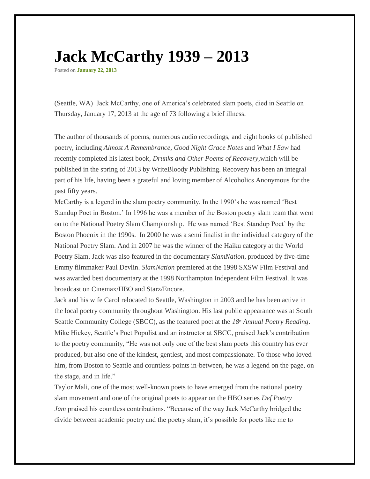## **Jack McCarthy 1939 – 2013**

Posted on **[January 22, 2013](http://kathleenflenniken.com/blog/?p=1331)**

(Seattle, WA) Jack McCarthy, one of America's celebrated slam poets, died in Seattle on Thursday, January 17, 2013 at the age of 73 following a brief illness.

The author of thousands of poems, numerous audio recordings, and eight books of published poetry, including *Almost A Remembrance, Good Night Grace Notes* and *What I Saw* had recently completed his latest book, *Drunks and Other Poems of Recovery,*which will be published in the spring of 2013 by WriteBloody Publishing. Recovery has been an integral part of his life, having been a grateful and loving member of Alcoholics Anonymous for the past fifty years.

McCarthy is a legend in the slam poetry community. In the 1990's he was named 'Best Standup Poet in Boston.' In 1996 he was a member of the Boston poetry slam team that went on to the National Poetry Slam Championship*.* He was named 'Best Standup Poet' by the Boston Phoenix in the 1990s. In 2000 he was a semi finalist in the individual category of the National Poetry Slam. And in 2007 he was the winner of the Haiku category at the World Poetry Slam. Jack was also featured in the documentary *SlamNation*, produced by five-time Emmy filmmaker Paul Devlin. *SlamNation* premiered at the 1998 SXSW Film Festival and was awarded best documentary at the 1998 Northampton Independent Film Festival. It was broadcast on Cinemax/HBO and Starz/Encore.

Jack and his wife Carol relocated to Seattle, Washington in 2003 and he has been active in the local poetry community throughout Washington. His last public appearance was at South Seattle Community College (SBCC), as the featured poet at the *18th Annual Poetry Reading*. Mike Hickey, Seattle's Poet Populist and an instructor at SBCC, praised Jack's contribution to the poetry community, "He was not only one of the best slam poets this country has ever produced, but also one of the kindest, gentlest, and most compassionate. To those who loved him, from Boston to Seattle and countless points in-between, he was a legend on the page, on the stage, and in life."

Taylor Mali, one of the most well-known poets to have emerged from the national poetry slam movement and one of the original poets to appear on the HBO series *Def Poetry Jam* praised his countless contributions. "Because of the way Jack McCarthy bridged the divide between academic poetry and the poetry slam, it's possible for poets like me to